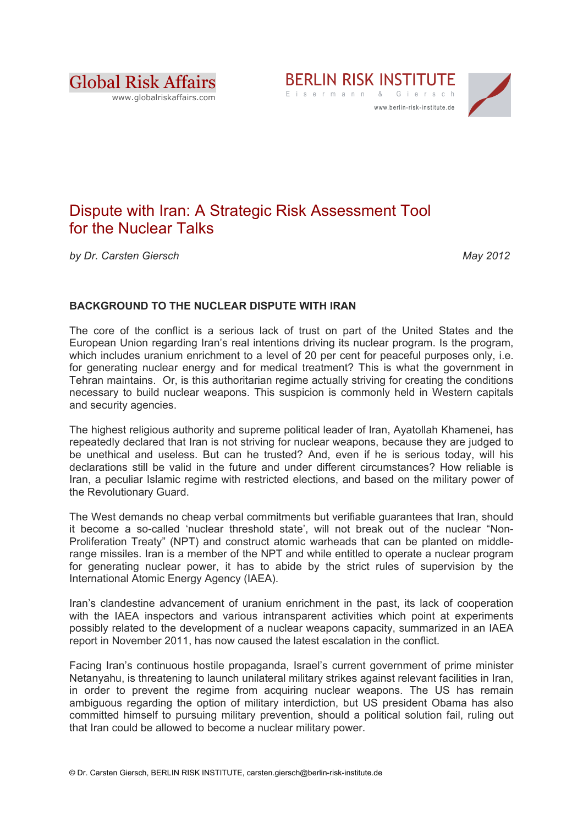





# Dispute with Iran: A Strategic Risk Assessment Tool for the Nuclear Talks

*by Dr. Carsten Giersch May 2012*

## **BACKGROUND TO THE NUCLEAR DISPUTE WITH IRAN**

The core of the conflict is a serious lack of trust on part of the United States and the European Union regarding Iran's real intentions driving its nuclear program. Is the program, which includes uranium enrichment to a level of 20 per cent for peaceful purposes only, i.e. for generating nuclear energy and for medical treatment? This is what the government in Tehran maintains. Or, is this authoritarian regime actually striving for creating the conditions necessary to build nuclear weapons. This suspicion is commonly held in Western capitals and security agencies.

The highest religious authority and supreme political leader of Iran, Ayatollah Khamenei, has repeatedly declared that Iran is not striving for nuclear weapons, because they are judged to be unethical and useless. But can he trusted? And, even if he is serious today, will his declarations still be valid in the future and under different circumstances? How reliable is Iran, a peculiar Islamic regime with restricted elections, and based on the military power of the Revolutionary Guard.

The West demands no cheap verbal commitments but verifiable guarantees that Iran, should it become a so-called 'nuclear threshold state', will not break out of the nuclear "Non-Proliferation Treaty" (NPT) and construct atomic warheads that can be planted on middlerange missiles. Iran is a member of the NPT and while entitled to operate a nuclear program for generating nuclear power, it has to abide by the strict rules of supervision by the International Atomic Energy Agency (IAEA).

Iran's clandestine advancement of uranium enrichment in the past, its lack of cooperation with the IAEA inspectors and various intransparent activities which point at experiments possibly related to the development of a nuclear weapons capacity, summarized in an IAEA report in November 2011, has now caused the latest escalation in the conflict.

Facing Iran's continuous hostile propaganda, Israel's current government of prime minister Netanyahu, is threatening to launch unilateral military strikes against relevant facilities in Iran, in order to prevent the regime from acquiring nuclear weapons. The US has remain ambiguous regarding the option of military interdiction, but US president Obama has also committed himself to pursuing military prevention, should a political solution fail, ruling out that Iran could be allowed to become a nuclear military power.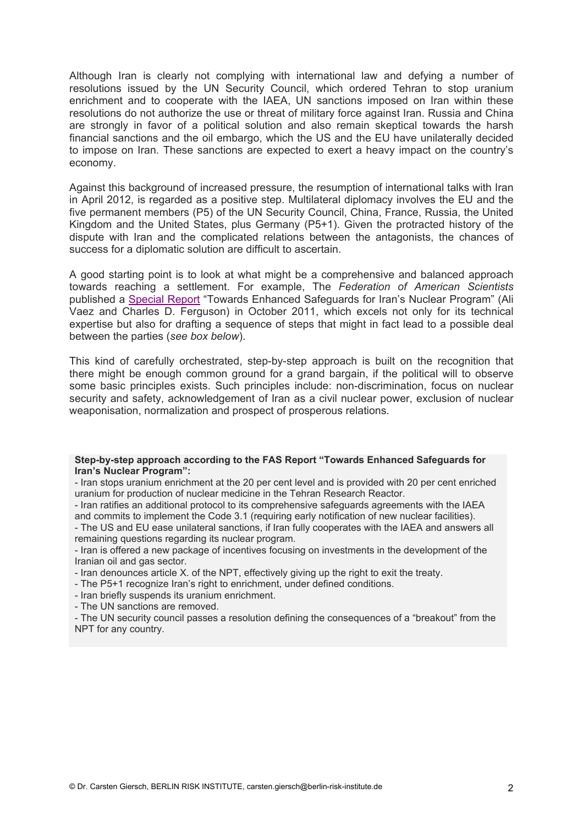Although Iran is clearly not complying with international law and defying a number of resolutions issued by the UN Security Council, which ordered Tehran to stop uranium enrichment and to cooperate with the IAEA, UN sanctions imposed on Iran within these resolutions do not authorize the use or threat of military force against Iran. Russia and China are strongly in favor of a political solution and also remain skeptical towards the harsh financial sanctions and the oil embargo, which the US and the EU have unilaterally decided to impose on Iran. These sanctions are expected to exert a heavy impact on the country's economy.

Against this background of increased pressure, the resumption of international talks with Iran in April 2012, is regarded as a positive step. Multilateral diplomacy involves the EU and the five permanent members (P5) of the UN Security Council, China, France, Russia, the United Kingdom and the United States, plus Germany (P5+1). Given the protracted history of the dispute with Iran and the complicated relations between the antagonists, the chances of success for a diplomatic solution are difficult to ascertain.

A good starting point is to look at what might be a comprehensive and balanced approach towards reaching a settlement. For example, The *Federation of American Scientists* published a Special Report "Towards Enhanced Safeguards for Iran's Nuclear Program" (Ali Vaez and Charles D. Ferguson) in October 2011, which excels not only for its technical expertise but also for drafting a sequence of steps that might in fact lead to a possible deal between the parties (*see box below*).

This kind of carefully orchestrated, step-by-step approach is built on the recognition that there might be enough common ground for a grand bargain, if the political will to observe some basic principles exists. Such principles include: non-discrimination, focus on nuclear security and safety, acknowledgement of Iran as a civil nuclear power, exclusion of nuclear weaponisation, normalization and prospect of prosperous relations.

#### **Step-by-step approach according to the FAS Report "Towards Enhanced Safeguards for Iran's Nuclear Program":**

- Iran stops uranium enrichment at the 20 per cent level and is provided with 20 per cent enriched uranium for production of nuclear medicine in the Tehran Research Reactor.

- Iran ratifies an additional protocol to its comprehensive safeguards agreements with the IAEA and commits to implement the Code 3.1 (requiring early notification of new nuclear facilities).

- The US and EU ease unilateral sanctions, if Iran fully cooperates with the IAEA and answers all remaining questions regarding its nuclear program.

- Iran is offered a new package of incentives focusing on investments in the development of the Iranian oil and gas sector.

- Iran denounces article X. of the NPT, effectively giving up the right to exit the treaty.
- The P5+1 recognize Iran's right to enrichment, under defined conditions.

- Iran briefly suspends its uranium enrichment.

- The UN sanctions are removed.

- The UN security council passes a resolution defining the consequences of a "breakout" from the NPT for any country.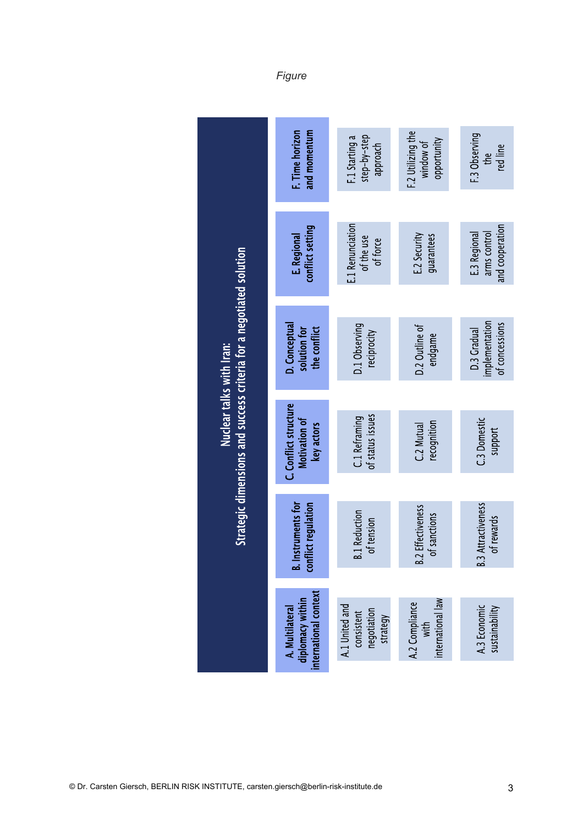|                                                                                                 | F. Time horizon<br>and momentum                              | step-by-step<br>F.1 Starting a<br>approach              | F.2 Utilizing the<br>opportunity<br>window of | F.3 Observing<br>red line<br>the                |
|-------------------------------------------------------------------------------------------------|--------------------------------------------------------------|---------------------------------------------------------|-----------------------------------------------|-------------------------------------------------|
| Strategic dimensions and success criteria for a negotiated solution<br>Nuclear talks with Iran: | conflict setting<br>E. Regional                              | E.1 Renunciation<br>of the use<br>of force              | E.2 Security<br>guarantees                    | and cooperation<br>arms control<br>E.3 Regional |
|                                                                                                 | D. Conceptual<br>solution for<br>the conflict                | D.1 Observing<br>reciprocity                            | D.2 Outline of<br>endgame                     | implementation<br>of concessions<br>D.3 Gradual |
|                                                                                                 | C. Conflict structure<br>Motivation of<br>key actors         | of status issues<br>C.1 Reframing                       | recognition<br>C.2 Mutual                     | C.3 Domestic<br>support                         |
|                                                                                                 | nstruments for<br>conflict regulation                        | <b>B.1 Reduction</b><br>of tension                      | .2 Effectiveness<br>of sanctions<br><u>.</u>  | <b>B.3 Attractiveness</b><br>of rewards         |
|                                                                                                 | international context<br>diplomacy within<br>A. Multilateral | A.1 United and<br>negotiation<br>consistent<br>strategy | international law<br>A.2 Compliance<br>with   | A.3 Economic<br>sustainability                  |

*Figure*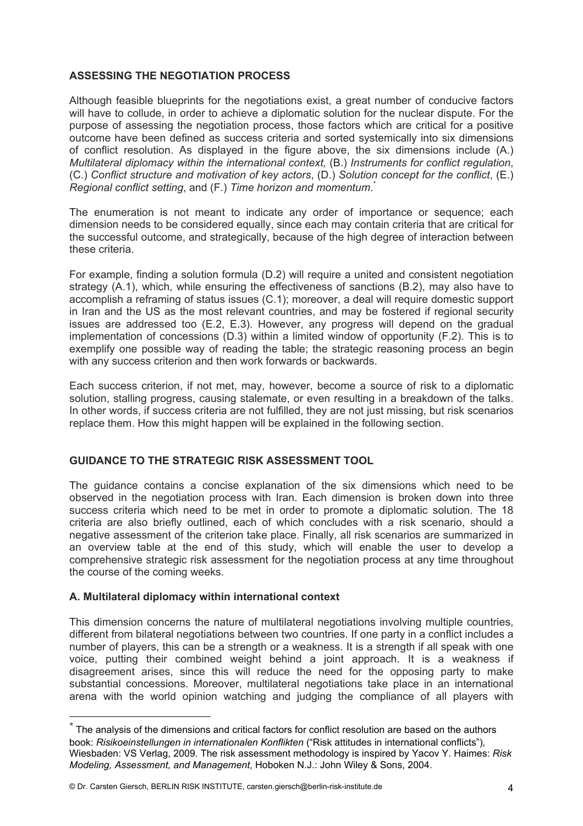## **ASSESSING THE NEGOTIATION PROCESS**

Although feasible blueprints for the negotiations exist, a great number of conducive factors will have to collude, in order to achieve a diplomatic solution for the nuclear dispute. For the purpose of assessing the negotiation process, those factors which are critical for a positive outcome have been defined as success criteria and sorted systemically into six dimensions of conflict resolution. As displayed in the figure above, the six dimensions include (A.) *Multilateral diplomacy within the international context,* (B.) *Instruments for conflict regulation*, (C.) *Conflict structure and motivation of key actors*, (D.) *Solution concept for the conflict*, (E.) *Regional conflict setting*, and (F.) *Time horizon and momentum*. \*

The enumeration is not meant to indicate any order of importance or sequence; each dimension needs to be considered equally, since each may contain criteria that are critical for the successful outcome, and strategically, because of the high degree of interaction between these criteria.

For example, finding a solution formula (D.2) will require a united and consistent negotiation strategy (A.1), which, while ensuring the effectiveness of sanctions (B.2), may also have to accomplish a reframing of status issues (C.1); moreover, a deal will require domestic support in Iran and the US as the most relevant countries, and may be fostered if regional security issues are addressed too (E.2, E.3). However, any progress will depend on the gradual implementation of concessions (D.3) within a limited window of opportunity (F.2). This is to exemplify one possible way of reading the table; the strategic reasoning process an begin with any success criterion and then work forwards or backwards.

Each success criterion, if not met, may, however, become a source of risk to a diplomatic solution, stalling progress, causing stalemate, or even resulting in a breakdown of the talks. In other words, if success criteria are not fulfilled, they are not just missing, but risk scenarios replace them. How this might happen will be explained in the following section.

### **GUIDANCE TO THE STRATEGIC RISK ASSESSMENT TOOL**

The guidance contains a concise explanation of the six dimensions which need to be observed in the negotiation process with Iran. Each dimension is broken down into three success criteria which need to be met in order to promote a diplomatic solution. The 18 criteria are also briefly outlined, each of which concludes with a risk scenario, should a negative assessment of the criterion take place. Finally, all risk scenarios are summarized in an overview table at the end of this study, which will enable the user to develop a comprehensive strategic risk assessment for the negotiation process at any time throughout the course of the coming weeks.

### **A. Multilateral diplomacy within international context**

!!!!!!!!!!!!!!!!!!!!!!!!!!!!!!!!!!!!!!!!!!!!!!!!!!!!!!!

This dimension concerns the nature of multilateral negotiations involving multiple countries, different from bilateral negotiations between two countries. If one party in a conflict includes a number of players, this can be a strength or a weakness. It is a strength if all speak with one voice, putting their combined weight behind a joint approach. It is a weakness if disagreement arises, since this will reduce the need for the opposing party to make substantial concessions. Moreover, multilateral negotiations take place in an international arena with the world opinion watching and judging the compliance of all players with

© Dr. Carsten Giersch, BERLIN RISK INSTITUTE, carsten.giersch@berlin-risk-institute.de 4

 $*$  The analysis of the dimensions and critical factors for conflict resolution are based on the authors book: *Risikoeinstellungen in internationalen Konflikten* ("Risk attitudes in international conflicts")*,*  Wiesbaden: VS Verlag, 2009. The risk assessment methodology is inspired by Yacov Y. Haimes: *Risk Modeling, Assessment, and Management*, Hoboken N.J.: John Wiley & Sons, 2004.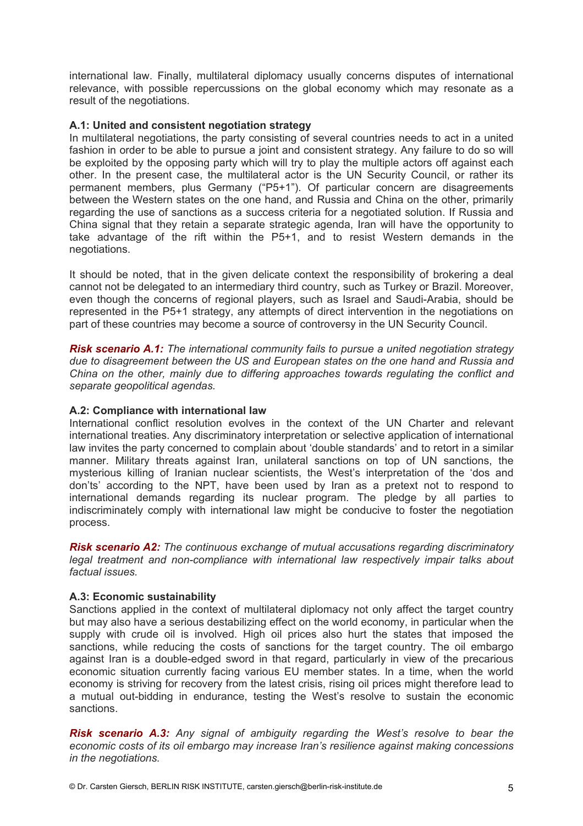international law. Finally, multilateral diplomacy usually concerns disputes of international relevance, with possible repercussions on the global economy which may resonate as a result of the negotiations.

#### **A.1: United and consistent negotiation strategy**

In multilateral negotiations, the party consisting of several countries needs to act in a united fashion in order to be able to pursue a joint and consistent strategy. Any failure to do so will be exploited by the opposing party which will try to play the multiple actors off against each other. In the present case, the multilateral actor is the UN Security Council, or rather its permanent members, plus Germany ("P5+1"). Of particular concern are disagreements between the Western states on the one hand, and Russia and China on the other, primarily regarding the use of sanctions as a success criteria for a negotiated solution. If Russia and China signal that they retain a separate strategic agenda, Iran will have the opportunity to take advantage of the rift within the P5+1, and to resist Western demands in the negotiations.

It should be noted, that in the given delicate context the responsibility of brokering a deal cannot not be delegated to an intermediary third country, such as Turkey or Brazil. Moreover, even though the concerns of regional players, such as Israel and Saudi-Arabia, should be represented in the P5+1 strategy, any attempts of direct intervention in the negotiations on part of these countries may become a source of controversy in the UN Security Council.

*Risk scenario A.1: The international community fails to pursue a united negotiation strategy due to disagreement between the US and European states on the one hand and Russia and China on the other, mainly due to differing approaches towards regulating the conflict and separate geopolitical agendas.* 

#### **A.2: Compliance with international law**

International conflict resolution evolves in the context of the UN Charter and relevant international treaties. Any discriminatory interpretation or selective application of international law invites the party concerned to complain about 'double standards' and to retort in a similar manner. Military threats against Iran, unilateral sanctions on top of UN sanctions, the mysterious killing of Iranian nuclear scientists, the West's interpretation of the 'dos and don'ts' according to the NPT, have been used by Iran as a pretext not to respond to international demands regarding its nuclear program. The pledge by all parties to indiscriminately comply with international law might be conducive to foster the negotiation process.

*Risk scenario A2: The continuous exchange of mutual accusations regarding discriminatory legal treatment and non-compliance with international law respectively impair talks about factual issues.* 

### **A.3: Economic sustainability**

Sanctions applied in the context of multilateral diplomacy not only affect the target country but may also have a serious destabilizing effect on the world economy, in particular when the supply with crude oil is involved. High oil prices also hurt the states that imposed the sanctions, while reducing the costs of sanctions for the target country. The oil embargo against Iran is a double-edged sword in that regard, particularly in view of the precarious economic situation currently facing various EU member states. In a time, when the world economy is striving for recovery from the latest crisis, rising oil prices might therefore lead to a mutual out-bidding in endurance, testing the West's resolve to sustain the economic sanctions.

*Risk scenario A.3: Any signal of ambiguity regarding the West's resolve to bear the economic costs of its oil embargo may increase Iran's resilience against making concessions in the negotiations.*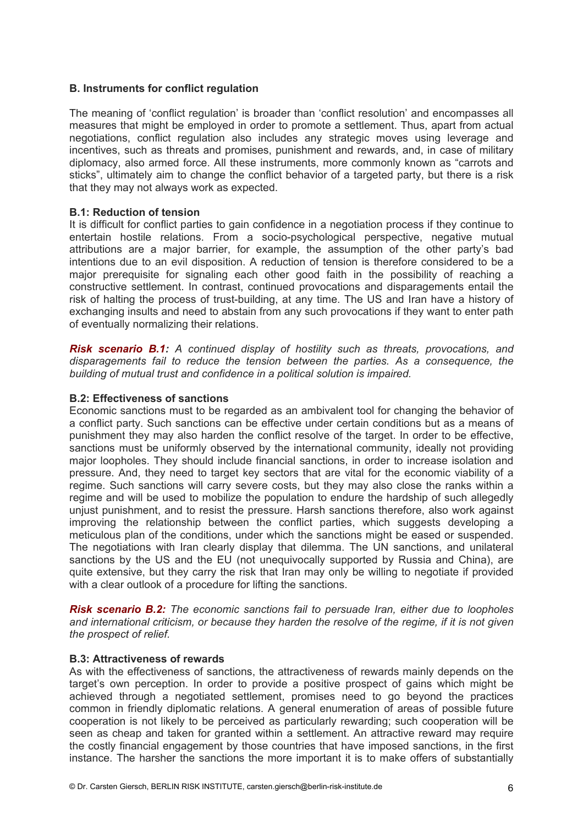#### **B. Instruments for conflict regulation**

The meaning of 'conflict regulation' is broader than 'conflict resolution' and encompasses all measures that might be employed in order to promote a settlement. Thus, apart from actual negotiations, conflict regulation also includes any strategic moves using leverage and incentives, such as threats and promises, punishment and rewards, and, in case of military diplomacy, also armed force. All these instruments, more commonly known as "carrots and sticks", ultimately aim to change the conflict behavior of a targeted party, but there is a risk that they may not always work as expected.

#### **B.1: Reduction of tension**

It is difficult for conflict parties to gain confidence in a negotiation process if they continue to entertain hostile relations. From a socio-psychological perspective, negative mutual attributions are a major barrier, for example, the assumption of the other party's bad intentions due to an evil disposition. A reduction of tension is therefore considered to be a major prerequisite for signaling each other good faith in the possibility of reaching a constructive settlement. In contrast, continued provocations and disparagements entail the risk of halting the process of trust-building, at any time. The US and Iran have a history of exchanging insults and need to abstain from any such provocations if they want to enter path of eventually normalizing their relations.

*Risk scenario B.1: A continued display of hostility such as threats, provocations, and disparagements fail to reduce the tension between the parties. As a consequence, the building of mutual trust and confidence in a political solution is impaired.*

#### **B.2: Effectiveness of sanctions**

Economic sanctions must to be regarded as an ambivalent tool for changing the behavior of a conflict party. Such sanctions can be effective under certain conditions but as a means of punishment they may also harden the conflict resolve of the target. In order to be effective, sanctions must be uniformly observed by the international community, ideally not providing major loopholes. They should include financial sanctions, in order to increase isolation and pressure. And, they need to target key sectors that are vital for the economic viability of a regime. Such sanctions will carry severe costs, but they may also close the ranks within a regime and will be used to mobilize the population to endure the hardship of such allegedly unjust punishment, and to resist the pressure. Harsh sanctions therefore, also work against improving the relationship between the conflict parties, which suggests developing a meticulous plan of the conditions, under which the sanctions might be eased or suspended. The negotiations with Iran clearly display that dilemma. The UN sanctions, and unilateral sanctions by the US and the EU (not unequivocally supported by Russia and China), are quite extensive, but they carry the risk that Iran may only be willing to negotiate if provided with a clear outlook of a procedure for lifting the sanctions.

*Risk scenario B.2: The economic sanctions fail to persuade Iran, either due to loopholes and international criticism, or because they harden the resolve of the regime, if it is not given the prospect of relief.* 

#### **B.3: Attractiveness of rewards**

As with the effectiveness of sanctions, the attractiveness of rewards mainly depends on the target's own perception. In order to provide a positive prospect of gains which might be achieved through a negotiated settlement, promises need to go beyond the practices common in friendly diplomatic relations. A general enumeration of areas of possible future cooperation is not likely to be perceived as particularly rewarding; such cooperation will be seen as cheap and taken for granted within a settlement. An attractive reward may require the costly financial engagement by those countries that have imposed sanctions, in the first instance. The harsher the sanctions the more important it is to make offers of substantially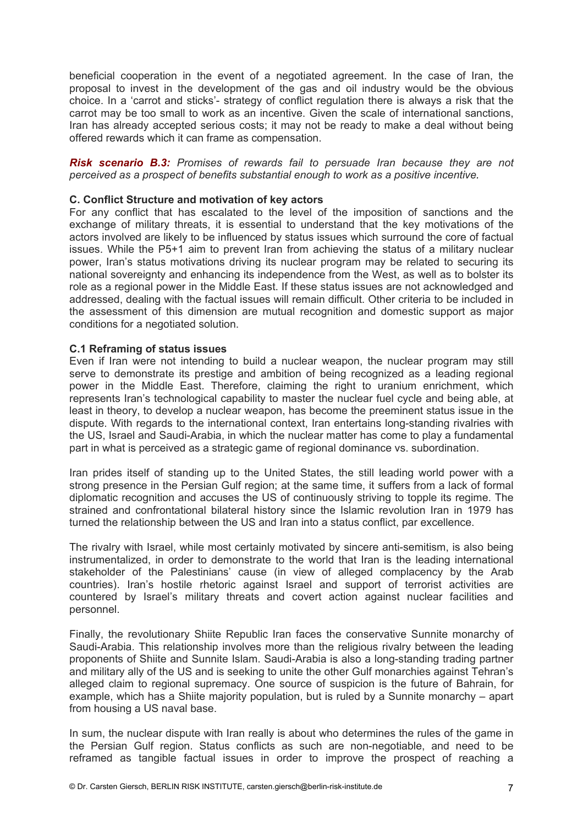beneficial cooperation in the event of a negotiated agreement. In the case of Iran, the proposal to invest in the development of the gas and oil industry would be the obvious choice. In a 'carrot and sticks'- strategy of conflict regulation there is always a risk that the carrot may be too small to work as an incentive. Given the scale of international sanctions, Iran has already accepted serious costs; it may not be ready to make a deal without being offered rewards which it can frame as compensation.

*Risk scenario B.3: Promises of rewards fail to persuade Iran because they are not perceived as a prospect of benefits substantial enough to work as a positive incentive.* 

#### **C. Conflict Structure and motivation of key actors**

For any conflict that has escalated to the level of the imposition of sanctions and the exchange of military threats, it is essential to understand that the key motivations of the actors involved are likely to be influenced by status issues which surround the core of factual issues. While the P5+1 aim to prevent Iran from achieving the status of a military nuclear power, Iran's status motivations driving its nuclear program may be related to securing its national sovereignty and enhancing its independence from the West, as well as to bolster its role as a regional power in the Middle East. If these status issues are not acknowledged and addressed, dealing with the factual issues will remain difficult. Other criteria to be included in the assessment of this dimension are mutual recognition and domestic support as major conditions for a negotiated solution.

#### **C.1 Reframing of status issues**

Even if Iran were not intending to build a nuclear weapon, the nuclear program may still serve to demonstrate its prestige and ambition of being recognized as a leading regional power in the Middle East. Therefore, claiming the right to uranium enrichment, which represents Iran's technological capability to master the nuclear fuel cycle and being able, at least in theory, to develop a nuclear weapon, has become the preeminent status issue in the dispute. With regards to the international context, Iran entertains long-standing rivalries with the US, Israel and Saudi-Arabia, in which the nuclear matter has come to play a fundamental part in what is perceived as a strategic game of regional dominance vs. subordination.

Iran prides itself of standing up to the United States, the still leading world power with a strong presence in the Persian Gulf region; at the same time, it suffers from a lack of formal diplomatic recognition and accuses the US of continuously striving to topple its regime. The strained and confrontational bilateral history since the Islamic revolution Iran in 1979 has turned the relationship between the US and Iran into a status conflict, par excellence.

The rivalry with Israel, while most certainly motivated by sincere anti-semitism, is also being instrumentalized, in order to demonstrate to the world that Iran is the leading international stakeholder of the Palestinians' cause (in view of alleged complacency by the Arab countries). Iran's hostile rhetoric against Israel and support of terrorist activities are countered by Israel's military threats and covert action against nuclear facilities and personnel.

Finally, the revolutionary Shiite Republic Iran faces the conservative Sunnite monarchy of Saudi-Arabia. This relationship involves more than the religious rivalry between the leading proponents of Shiite and Sunnite Islam. Saudi-Arabia is also a long-standing trading partner and military ally of the US and is seeking to unite the other Gulf monarchies against Tehran's alleged claim to regional supremacy. One source of suspicion is the future of Bahrain, for example, which has a Shiite majority population, but is ruled by a Sunnite monarchy – apart from housing a US naval base.

In sum, the nuclear dispute with Iran really is about who determines the rules of the game in the Persian Gulf region. Status conflicts as such are non-negotiable, and need to be reframed as tangible factual issues in order to improve the prospect of reaching a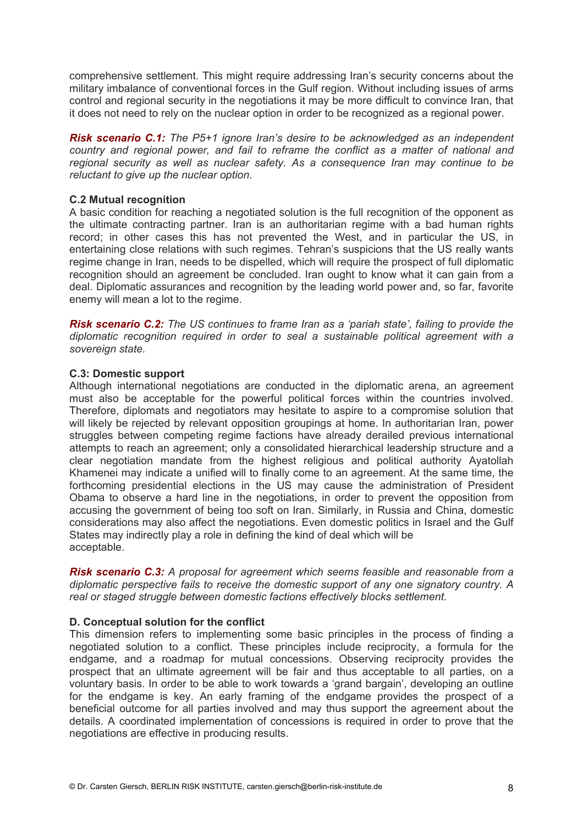comprehensive settlement. This might require addressing Iran's security concerns about the military imbalance of conventional forces in the Gulf region. Without including issues of arms control and regional security in the negotiations it may be more difficult to convince Iran, that it does not need to rely on the nuclear option in order to be recognized as a regional power.

*Risk scenario C.1: The P5+1 ignore Iran's desire to be acknowledged as an independent country and regional power, and fail to reframe the conflict as a matter of national and regional security as well as nuclear safety. As a consequence Iran may continue to be reluctant to give up the nuclear option.*

#### **C.2 Mutual recognition**

A basic condition for reaching a negotiated solution is the full recognition of the opponent as the ultimate contracting partner. Iran is an authoritarian regime with a bad human rights record; in other cases this has not prevented the West, and in particular the US, in entertaining close relations with such regimes. Tehran's suspicions that the US really wants regime change in Iran, needs to be dispelled, which will require the prospect of full diplomatic recognition should an agreement be concluded. Iran ought to know what it can gain from a deal. Diplomatic assurances and recognition by the leading world power and, so far, favorite enemy will mean a lot to the regime.

*Risk scenario C.2: The US continues to frame Iran as a 'pariah state', failing to provide the diplomatic recognition required in order to seal a sustainable political agreement with a sovereign state.* 

#### **C.3: Domestic support**

Although international negotiations are conducted in the diplomatic arena, an agreement must also be acceptable for the powerful political forces within the countries involved. Therefore, diplomats and negotiators may hesitate to aspire to a compromise solution that will likely be rejected by relevant opposition groupings at home. In authoritarian Iran, power struggles between competing regime factions have already derailed previous international attempts to reach an agreement; only a consolidated hierarchical leadership structure and a clear negotiation mandate from the highest religious and political authority Ayatollah Khamenei may indicate a unified will to finally come to an agreement. At the same time, the forthcoming presidential elections in the US may cause the administration of President Obama to observe a hard line in the negotiations, in order to prevent the opposition from accusing the government of being too soft on Iran. Similarly, in Russia and China, domestic considerations may also affect the negotiations. Even domestic politics in Israel and the Gulf States may indirectly play a role in defining the kind of deal which will be acceptable.

*Risk scenario C.3: A proposal for agreement which seems feasible and reasonable from a diplomatic perspective fails to receive the domestic support of any one signatory country. A real or staged struggle between domestic factions effectively blocks settlement.* 

### **D. Conceptual solution for the conflict**

This dimension refers to implementing some basic principles in the process of finding a negotiated solution to a conflict. These principles include reciprocity, a formula for the endgame, and a roadmap for mutual concessions. Observing reciprocity provides the prospect that an ultimate agreement will be fair and thus acceptable to all parties, on a voluntary basis. In order to be able to work towards a 'grand bargain', developing an outline for the endgame is key. An early framing of the endgame provides the prospect of a beneficial outcome for all parties involved and may thus support the agreement about the details. A coordinated implementation of concessions is required in order to prove that the negotiations are effective in producing results.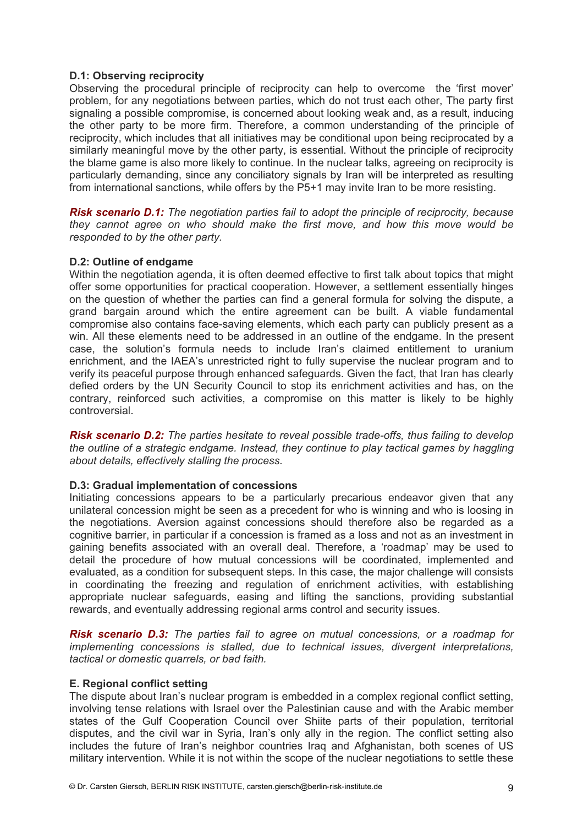#### **D.1: Observing reciprocity**

Observing the procedural principle of reciprocity can help to overcome the 'first mover' problem, for any negotiations between parties, which do not trust each other, The party first signaling a possible compromise, is concerned about looking weak and, as a result, inducing the other party to be more firm. Therefore, a common understanding of the principle of reciprocity, which includes that all initiatives may be conditional upon being reciprocated by a similarly meaningful move by the other party, is essential. Without the principle of reciprocity the blame game is also more likely to continue. In the nuclear talks, agreeing on reciprocity is particularly demanding, since any conciliatory signals by Iran will be interpreted as resulting from international sanctions, while offers by the P5+1 may invite Iran to be more resisting.

*Risk scenario D.1: The negotiation parties fail to adopt the principle of reciprocity, because they cannot agree on who should make the first move, and how this move would be responded to by the other party.* 

#### **D.2: Outline of endgame**

Within the negotiation agenda, it is often deemed effective to first talk about topics that might offer some opportunities for practical cooperation. However, a settlement essentially hinges on the question of whether the parties can find a general formula for solving the dispute, a grand bargain around which the entire agreement can be built. A viable fundamental compromise also contains face-saving elements, which each party can publicly present as a win. All these elements need to be addressed in an outline of the endgame. In the present case, the solution's formula needs to include Iran's claimed entitlement to uranium enrichment, and the IAEA's unrestricted right to fully supervise the nuclear program and to verify its peaceful purpose through enhanced safeguards. Given the fact, that Iran has clearly defied orders by the UN Security Council to stop its enrichment activities and has, on the contrary, reinforced such activities, a compromise on this matter is likely to be highly controversial.

*Risk scenario D.2: The parties hesitate to reveal possible trade-offs, thus failing to develop the outline of a strategic endgame. Instead, they continue to play tactical games by haggling about details, effectively stalling the process.* 

#### **D.3: Gradual implementation of concessions**

Initiating concessions appears to be a particularly precarious endeavor given that any unilateral concession might be seen as a precedent for who is winning and who is loosing in the negotiations. Aversion against concessions should therefore also be regarded as a cognitive barrier, in particular if a concession is framed as a loss and not as an investment in gaining benefits associated with an overall deal. Therefore, a 'roadmap' may be used to detail the procedure of how mutual concessions will be coordinated, implemented and evaluated, as a condition for subsequent steps. In this case, the major challenge will consists in coordinating the freezing and regulation of enrichment activities, with establishing appropriate nuclear safeguards, easing and lifting the sanctions, providing substantial rewards, and eventually addressing regional arms control and security issues.

*Risk scenario D.3: The parties fail to agree on mutual concessions, or a roadmap for implementing concessions is stalled, due to technical issues, divergent interpretations, tactical or domestic quarrels, or bad faith.*

#### **E. Regional conflict setting**

The dispute about Iran's nuclear program is embedded in a complex regional conflict setting, involving tense relations with Israel over the Palestinian cause and with the Arabic member states of the Gulf Cooperation Council over Shiite parts of their population, territorial disputes, and the civil war in Syria, Iran's only ally in the region. The conflict setting also includes the future of Iran's neighbor countries Iraq and Afghanistan, both scenes of US military intervention. While it is not within the scope of the nuclear negotiations to settle these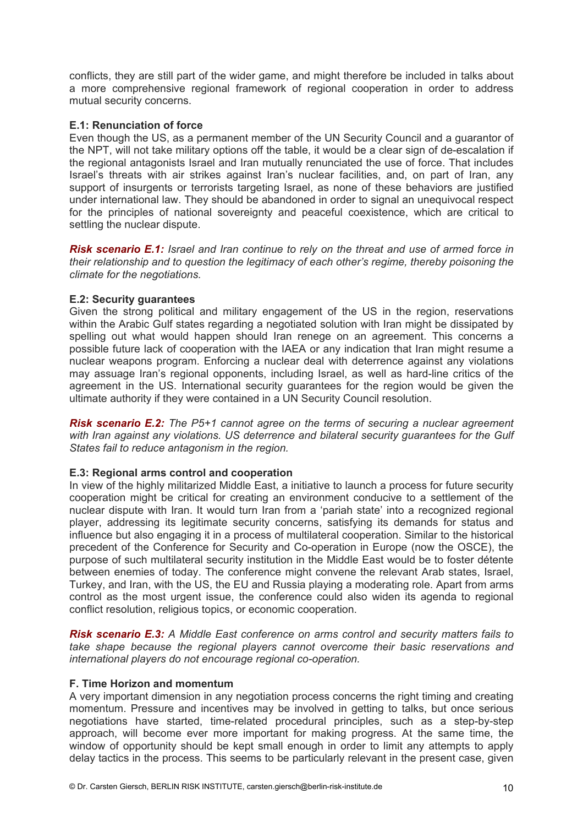conflicts, they are still part of the wider game, and might therefore be included in talks about a more comprehensive regional framework of regional cooperation in order to address mutual security concerns.

#### **E.1: Renunciation of force**

Even though the US, as a permanent member of the UN Security Council and a guarantor of the NPT, will not take military options off the table, it would be a clear sign of de-escalation if the regional antagonists Israel and Iran mutually renunciated the use of force. That includes Israel's threats with air strikes against Iran's nuclear facilities, and, on part of Iran, any support of insurgents or terrorists targeting Israel, as none of these behaviors are justified under international law. They should be abandoned in order to signal an unequivocal respect for the principles of national sovereignty and peaceful coexistence, which are critical to settling the nuclear dispute.

*Risk scenario E.1: Israel and Iran continue to rely on the threat and use of armed force in their relationship and to question the legitimacy of each other's regime, thereby poisoning the climate for the negotiations.*

#### **E.2: Security guarantees**

Given the strong political and military engagement of the US in the region, reservations within the Arabic Gulf states regarding a negotiated solution with Iran might be dissipated by spelling out what would happen should Iran renege on an agreement. This concerns a possible future lack of cooperation with the IAEA or any indication that Iran might resume a nuclear weapons program. Enforcing a nuclear deal with deterrence against any violations may assuage Iran's regional opponents, including Israel, as well as hard-line critics of the agreement in the US. International security guarantees for the region would be given the ultimate authority if they were contained in a UN Security Council resolution.

*Risk scenario E.2: The P5+1 cannot agree on the terms of securing a nuclear agreement with Iran against any violations. US deterrence and bilateral security guarantees for the Gulf States fail to reduce antagonism in the region.*

#### **E.3: Regional arms control and cooperation**

In view of the highly militarized Middle East, a initiative to launch a process for future security cooperation might be critical for creating an environment conducive to a settlement of the nuclear dispute with Iran. It would turn Iran from a 'pariah state' into a recognized regional player, addressing its legitimate security concerns, satisfying its demands for status and influence but also engaging it in a process of multilateral cooperation. Similar to the historical precedent of the Conference for Security and Co-operation in Europe (now the OSCE), the purpose of such multilateral security institution in the Middle East would be to foster détente between enemies of today. The conference might convene the relevant Arab states, Israel, Turkey, and Iran, with the US, the EU and Russia playing a moderating role. Apart from arms control as the most urgent issue, the conference could also widen its agenda to regional conflict resolution, religious topics, or economic cooperation.

*Risk scenario E.3: A Middle East conference on arms control and security matters fails to take shape because the regional players cannot overcome their basic reservations and international players do not encourage regional co-operation.* 

#### **F. Time Horizon and momentum**

A very important dimension in any negotiation process concerns the right timing and creating momentum. Pressure and incentives may be involved in getting to talks, but once serious negotiations have started, time-related procedural principles, such as a step-by-step approach, will become ever more important for making progress. At the same time, the window of opportunity should be kept small enough in order to limit any attempts to apply delay tactics in the process. This seems to be particularly relevant in the present case, given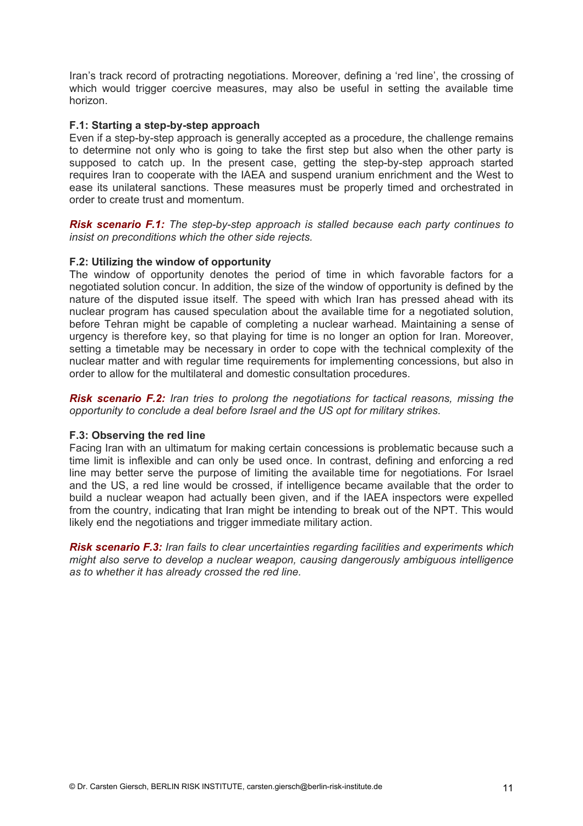Iran's track record of protracting negotiations. Moreover, defining a 'red line', the crossing of which would trigger coercive measures, may also be useful in setting the available time horizon.

#### **F.1: Starting a step-by-step approach**

Even if a step-by-step approach is generally accepted as a procedure, the challenge remains to determine not only who is going to take the first step but also when the other party is supposed to catch up. In the present case, getting the step-by-step approach started requires Iran to cooperate with the IAEA and suspend uranium enrichment and the West to ease its unilateral sanctions. These measures must be properly timed and orchestrated in order to create trust and momentum.

*Risk scenario F.1: The step-by-step approach is stalled because each party continues to insist on preconditions which the other side rejects.* 

#### **F.2: Utilizing the window of opportunity**

The window of opportunity denotes the period of time in which favorable factors for a negotiated solution concur. In addition, the size of the window of opportunity is defined by the nature of the disputed issue itself. The speed with which Iran has pressed ahead with its nuclear program has caused speculation about the available time for a negotiated solution, before Tehran might be capable of completing a nuclear warhead. Maintaining a sense of urgency is therefore key, so that playing for time is no longer an option for Iran. Moreover, setting a timetable may be necessary in order to cope with the technical complexity of the nuclear matter and with regular time requirements for implementing concessions, but also in order to allow for the multilateral and domestic consultation procedures.

*Risk scenario F.2: Iran tries to prolong the negotiations for tactical reasons, missing the opportunity to conclude a deal before Israel and the US opt for military strikes.*

#### **F.3: Observing the red line**

Facing Iran with an ultimatum for making certain concessions is problematic because such a time limit is inflexible and can only be used once. In contrast, defining and enforcing a red line may better serve the purpose of limiting the available time for negotiations. For Israel and the US, a red line would be crossed, if intelligence became available that the order to build a nuclear weapon had actually been given, and if the IAEA inspectors were expelled from the country, indicating that Iran might be intending to break out of the NPT. This would likely end the negotiations and trigger immediate military action.

*Risk scenario F.3: Iran fails to clear uncertainties regarding facilities and experiments which might also serve to develop a nuclear weapon, causing dangerously ambiguous intelligence as to whether it has already crossed the red line.*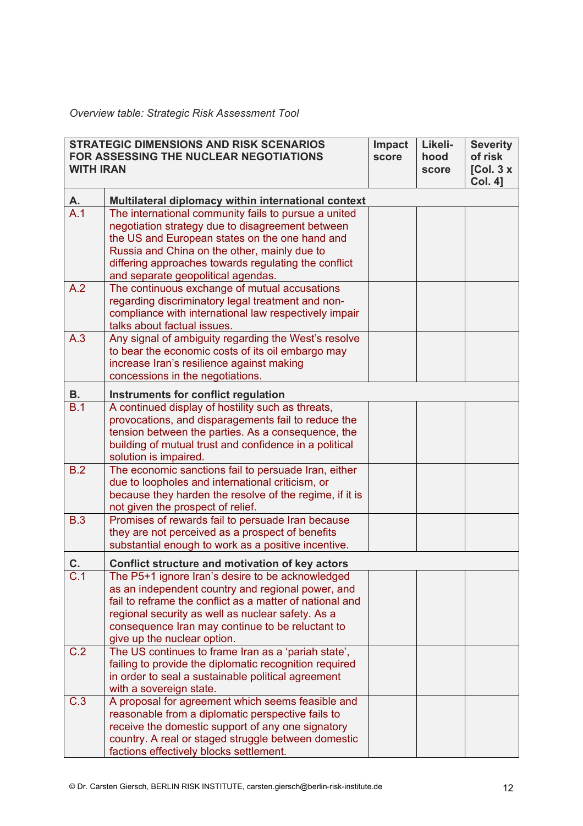## *Overview table: Strategic Risk Assessment Tool*

| <b>STRATEGIC DIMENSIONS AND RISK SCENARIOS</b><br><b>FOR ASSESSING THE NUCLEAR NEGOTIATIONS</b><br><b>WITH IRAN</b> |                                                                                                                                                                                                                                                                                                           | <b>Impact</b><br>score | Likeli-<br>hood<br>score | <b>Severity</b><br>of risk<br>[Col. $3x$<br><b>Col. 41</b> |
|---------------------------------------------------------------------------------------------------------------------|-----------------------------------------------------------------------------------------------------------------------------------------------------------------------------------------------------------------------------------------------------------------------------------------------------------|------------------------|--------------------------|------------------------------------------------------------|
| А.                                                                                                                  | Multilateral diplomacy within international context                                                                                                                                                                                                                                                       |                        |                          |                                                            |
| A.1                                                                                                                 | The international community fails to pursue a united<br>negotiation strategy due to disagreement between<br>the US and European states on the one hand and<br>Russia and China on the other, mainly due to<br>differing approaches towards regulating the conflict<br>and separate geopolitical agendas.  |                        |                          |                                                            |
| A.2                                                                                                                 | The continuous exchange of mutual accusations<br>regarding discriminatory legal treatment and non-<br>compliance with international law respectively impair<br>talks about factual issues.                                                                                                                |                        |                          |                                                            |
| A.3                                                                                                                 | Any signal of ambiguity regarding the West's resolve<br>to bear the economic costs of its oil embargo may<br>increase Iran's resilience against making<br>concessions in the negotiations.                                                                                                                |                        |                          |                                                            |
| <b>B.</b>                                                                                                           | Instruments for conflict regulation                                                                                                                                                                                                                                                                       |                        |                          |                                                            |
| B.1                                                                                                                 | A continued display of hostility such as threats,<br>provocations, and disparagements fail to reduce the<br>tension between the parties. As a consequence, the<br>building of mutual trust and confidence in a political<br>solution is impaired.                                                         |                        |                          |                                                            |
| B.2                                                                                                                 | The economic sanctions fail to persuade Iran, either<br>due to loopholes and international criticism, or<br>because they harden the resolve of the regime, if it is<br>not given the prospect of relief.                                                                                                  |                        |                          |                                                            |
| <b>B.3</b>                                                                                                          | Promises of rewards fail to persuade Iran because<br>they are not perceived as a prospect of benefits<br>substantial enough to work as a positive incentive.                                                                                                                                              |                        |                          |                                                            |
| C.                                                                                                                  | Conflict structure and motivation of key actors                                                                                                                                                                                                                                                           |                        |                          |                                                            |
| C.1                                                                                                                 | The P5+1 ignore Iran's desire to be acknowledged<br>as an independent country and regional power, and<br>fail to reframe the conflict as a matter of national and<br>regional security as well as nuclear safety. As a<br>consequence Iran may continue to be reluctant to<br>give up the nuclear option. |                        |                          |                                                            |
| C.2                                                                                                                 | The US continues to frame Iran as a 'pariah state',<br>failing to provide the diplomatic recognition required<br>in order to seal a sustainable political agreement<br>with a sovereign state.                                                                                                            |                        |                          |                                                            |
| C.3                                                                                                                 | A proposal for agreement which seems feasible and<br>reasonable from a diplomatic perspective fails to<br>receive the domestic support of any one signatory<br>country. A real or staged struggle between domestic<br>factions effectively blocks settlement.                                             |                        |                          |                                                            |